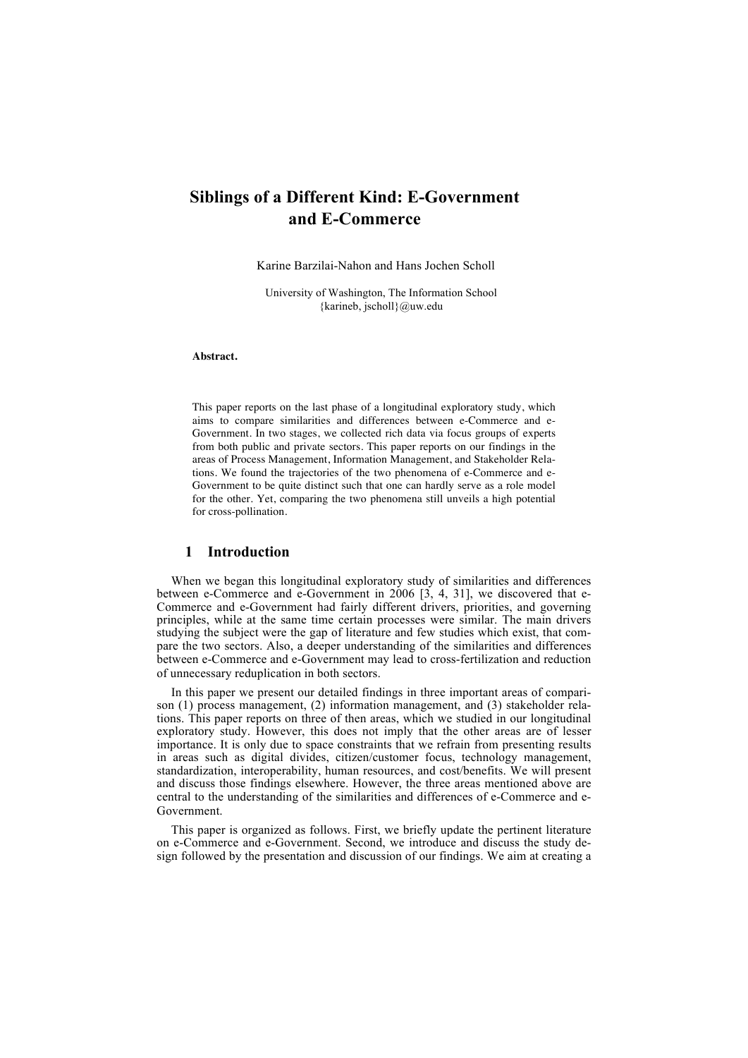# **Siblings of a Different Kind: E-Government and E-Commerce**

Karine Barzilai-Nahon and Hans Jochen Scholl

University of Washington, The Information School {karineb, jscholl}@uw.edu

**Abstract.**

This paper reports on the last phase of a longitudinal exploratory study, which aims to compare similarities and differences between e-Commerce and e-Government. In two stages, we collected rich data via focus groups of experts from both public and private sectors. This paper reports on our findings in the areas of Process Management, Information Management, and Stakeholder Relations. We found the trajectories of the two phenomena of e-Commerce and e-Government to be quite distinct such that one can hardly serve as a role model for the other. Yet, comparing the two phenomena still unveils a high potential for cross-pollination.

## **1 Introduction**

When we began this longitudinal exploratory study of similarities and differences between e-Commerce and e-Government in 2006 [3, 4, 31], we discovered that e-Commerce and e-Government had fairly different drivers, priorities, and governing principles, while at the same time certain processes were similar. The main drivers studying the subject were the gap of literature and few studies which exist, that compare the two sectors. Also, a deeper understanding of the similarities and differences between e-Commerce and e-Government may lead to cross-fertilization and reduction of unnecessary reduplication in both sectors.

In this paper we present our detailed findings in three important areas of comparison (1) process management, (2) information management, and (3) stakeholder relations. This paper reports on three of then areas, which we studied in our longitudinal exploratory study. However, this does not imply that the other areas are of lesser importance. It is only due to space constraints that we refrain from presenting results in areas such as digital divides, citizen/customer focus, technology management, standardization, interoperability, human resources, and cost/benefits. We will present and discuss those findings elsewhere. However, the three areas mentioned above are central to the understanding of the similarities and differences of e-Commerce and e-Government.

This paper is organized as follows. First, we briefly update the pertinent literature on e-Commerce and e-Government. Second, we introduce and discuss the study design followed by the presentation and discussion of our findings. We aim at creating a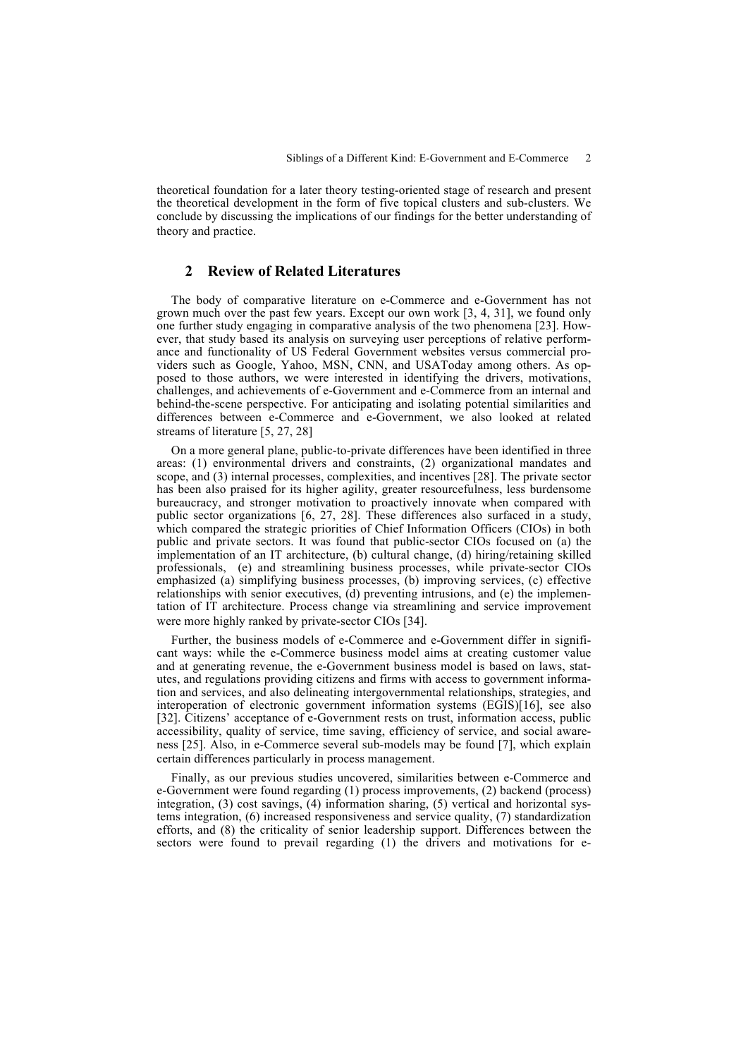theoretical foundation for a later theory testing-oriented stage of research and present the theoretical development in the form of five topical clusters and sub-clusters. We conclude by discussing the implications of our findings for the better understanding of theory and practice.

## **2 Review of Related Literatures**

The body of comparative literature on e-Commerce and e-Government has not grown much over the past few years. Except our own work [3, 4, 31], we found only one further study engaging in comparative analysis of the two phenomena [23]. However, that study based its analysis on surveying user perceptions of relative performance and functionality of US Federal Government websites versus commercial providers such as Google, Yahoo, MSN, CNN, and USAToday among others. As opposed to those authors, we were interested in identifying the drivers, motivations, challenges, and achievements of e-Government and e-Commerce from an internal and behind-the-scene perspective. For anticipating and isolating potential similarities and differences between e-Commerce and e-Government, we also looked at related streams of literature [5, 27, 28]

On a more general plane, public-to-private differences have been identified in three areas: (1) environmental drivers and constraints, (2) organizational mandates and scope, and (3) internal processes, complexities, and incentives [28]. The private sector has been also praised for its higher agility, greater resourcefulness, less burdensome bureaucracy, and stronger motivation to proactively innovate when compared with public sector organizations [6, 27, 28]. These differences also surfaced in a study, which compared the strategic priorities of Chief Information Officers (CIOs) in both public and private sectors. It was found that public-sector CIOs focused on (a) the implementation of an IT architecture, (b) cultural change, (d) hiring/retaining skilled professionals, (e) and streamlining business processes, while private-sector CIOs emphasized (a) simplifying business processes, (b) improving services, (c) effective relationships with senior executives, (d) preventing intrusions, and (e) the implementation of IT architecture. Process change via streamlining and service improvement were more highly ranked by private-sector CIOs [34].

Further, the business models of e-Commerce and e-Government differ in significant ways: while the e-Commerce business model aims at creating customer value and at generating revenue, the e-Government business model is based on laws, statutes, and regulations providing citizens and firms with access to government information and services, and also delineating intergovernmental relationships, strategies, and interoperation of electronic government information systems (EGIS)[16], see also [32]. Citizens' acceptance of e-Government rests on trust, information access, public accessibility, quality of service, time saving, efficiency of service, and social awareness [25]. Also, in e-Commerce several sub-models may be found [7], which explain certain differences particularly in process management.

Finally, as our previous studies uncovered, similarities between e-Commerce and e-Government were found regarding (1) process improvements, (2) backend (process) integration, (3) cost savings, (4) information sharing, (5) vertical and horizontal systems integration, (6) increased responsiveness and service quality, (7) standardization efforts, and (8) the criticality of senior leadership support. Differences between the sectors were found to prevail regarding (1) the drivers and motivations for e-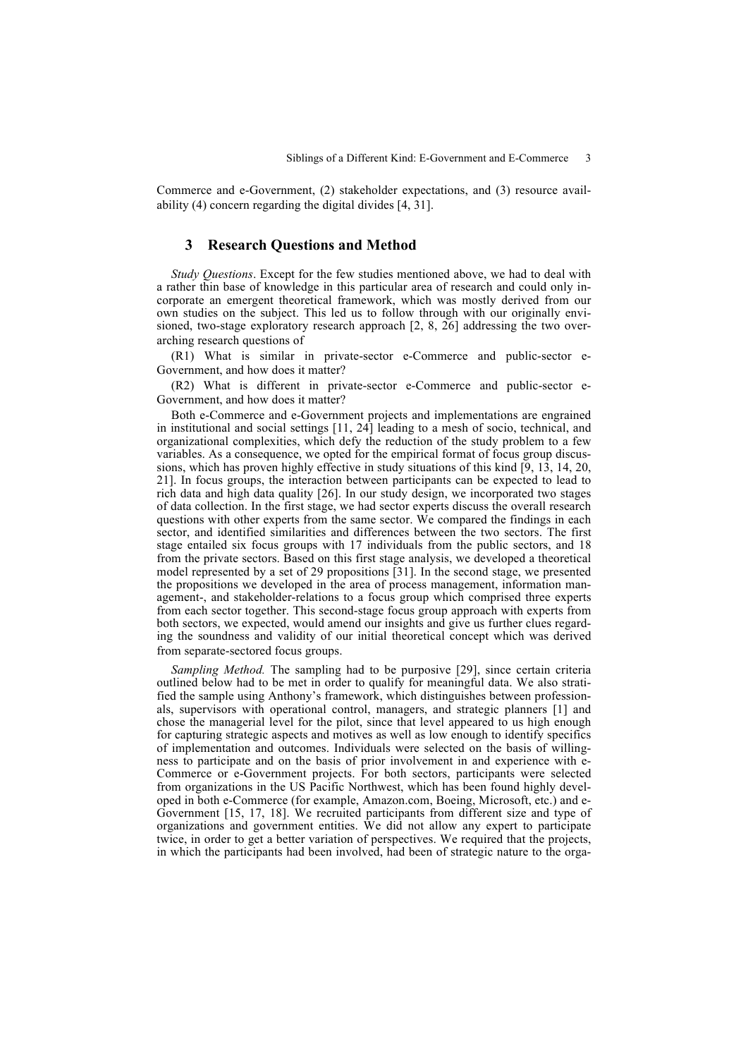Commerce and e-Government, (2) stakeholder expectations, and (3) resource availability (4) concern regarding the digital divides [4, 31].

# **3 Research Questions and Method**

*Study Questions*. Except for the few studies mentioned above, we had to deal with a rather thin base of knowledge in this particular area of research and could only incorporate an emergent theoretical framework, which was mostly derived from our own studies on the subject. This led us to follow through with our originally envisioned, two-stage exploratory research approach [2, 8, 26] addressing the two overarching research questions of

(R1) What is similar in private-sector e-Commerce and public-sector e-Government, and how does it matter?

(R2) What is different in private-sector e-Commerce and public-sector e-Government, and how does it matter?

Both e-Commerce and e-Government projects and implementations are engrained in institutional and social settings [11, 24] leading to a mesh of socio, technical, and organizational complexities, which defy the reduction of the study problem to a few variables. As a consequence, we opted for the empirical format of focus group discussions, which has proven highly effective in study situations of this kind [9, 13, 14, 20, 21]. In focus groups, the interaction between participants can be expected to lead to rich data and high data quality [26]. In our study design, we incorporated two stages of data collection. In the first stage, we had sector experts discuss the overall research questions with other experts from the same sector. We compared the findings in each sector, and identified similarities and differences between the two sectors. The first stage entailed six focus groups with 17 individuals from the public sectors, and 18 from the private sectors. Based on this first stage analysis, we developed a theoretical model represented by a set of 29 propositions [31]. In the second stage, we presented the propositions we developed in the area of process management, information management-, and stakeholder-relations to a focus group which comprised three experts from each sector together. This second-stage focus group approach with experts from both sectors, we expected, would amend our insights and give us further clues regarding the soundness and validity of our initial theoretical concept which was derived from separate-sectored focus groups.

*Sampling Method.* The sampling had to be purposive [29], since certain criteria outlined below had to be met in order to qualify for meaningful data. We also stratified the sample using Anthony's framework, which distinguishes between professionals, supervisors with operational control, managers, and strategic planners [1] and chose the managerial level for the pilot, since that level appeared to us high enough for capturing strategic aspects and motives as well as low enough to identify specifics of implementation and outcomes. Individuals were selected on the basis of willingness to participate and on the basis of prior involvement in and experience with e-Commerce or e-Government projects. For both sectors, participants were selected from organizations in the US Pacific Northwest, which has been found highly developed in both e-Commerce (for example, Amazon.com, Boeing, Microsoft, etc.) and e-Government [15, 17, 18]. We recruited participants from different size and type of organizations and government entities. We did not allow any expert to participate twice, in order to get a better variation of perspectives. We required that the projects, in which the participants had been involved, had been of strategic nature to the orga-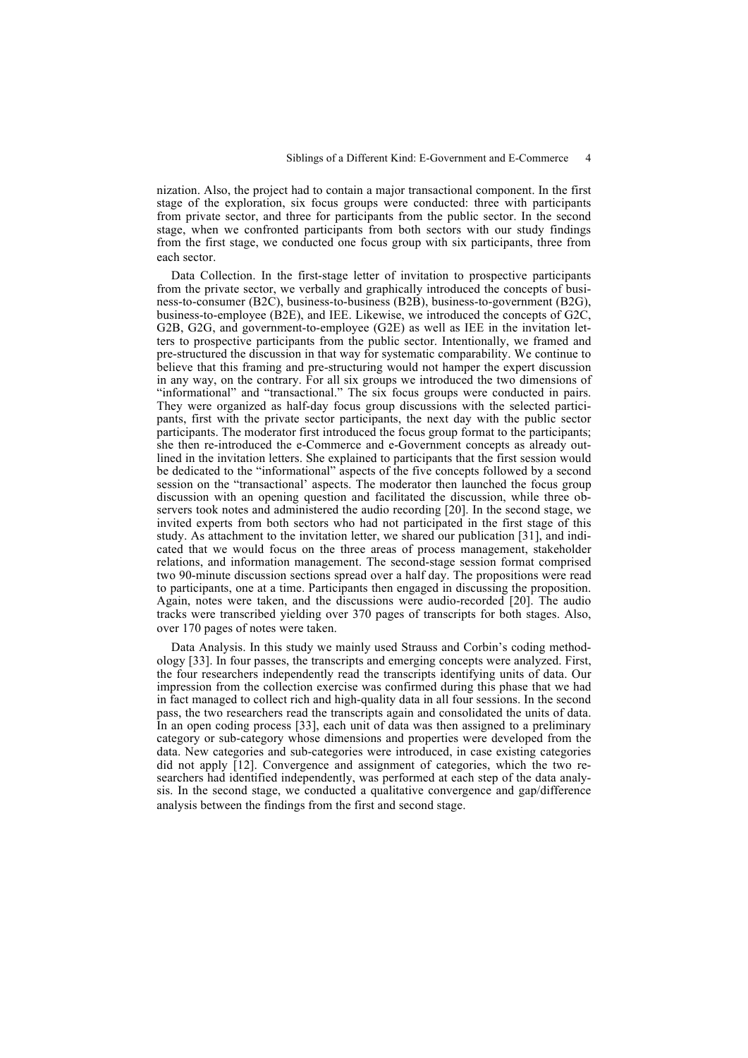nization. Also, the project had to contain a major transactional component. In the first stage of the exploration, six focus groups were conducted: three with participants from private sector, and three for participants from the public sector. In the second stage, when we confronted participants from both sectors with our study findings from the first stage, we conducted one focus group with six participants, three from each sector.

Data Collection. In the first-stage letter of invitation to prospective participants from the private sector, we verbally and graphically introduced the concepts of business-to-consumer (B2C), business-to-business (B2B), business-to-government (B2G), business-to-employee (B2E), and IEE. Likewise, we introduced the concepts of G2C, G2B, G2G, and government-to-employee (G2E) as well as IEE in the invitation letters to prospective participants from the public sector. Intentionally, we framed and pre-structured the discussion in that way for systematic comparability. We continue to believe that this framing and pre-structuring would not hamper the expert discussion in any way, on the contrary. For all six groups we introduced the two dimensions of "informational" and "transactional." The six focus groups were conducted in pairs. They were organized as half-day focus group discussions with the selected participants, first with the private sector participants, the next day with the public sector participants. The moderator first introduced the focus group format to the participants; she then re-introduced the e-Commerce and e-Government concepts as already outlined in the invitation letters. She explained to participants that the first session would be dedicated to the "informational" aspects of the five concepts followed by a second session on the "transactional' aspects. The moderator then launched the focus group discussion with an opening question and facilitated the discussion, while three observers took notes and administered the audio recording [20]. In the second stage, we invited experts from both sectors who had not participated in the first stage of this study. As attachment to the invitation letter, we shared our publication [31], and indicated that we would focus on the three areas of process management, stakeholder relations, and information management. The second-stage session format comprised two 90-minute discussion sections spread over a half day. The propositions were read to participants, one at a time. Participants then engaged in discussing the proposition. Again, notes were taken, and the discussions were audio-recorded [20]. The audio tracks were transcribed yielding over 370 pages of transcripts for both stages. Also, over 170 pages of notes were taken.

Data Analysis. In this study we mainly used Strauss and Corbin's coding methodology [33]. In four passes, the transcripts and emerging concepts were analyzed. First, the four researchers independently read the transcripts identifying units of data. Our impression from the collection exercise was confirmed during this phase that we had in fact managed to collect rich and high-quality data in all four sessions. In the second pass, the two researchers read the transcripts again and consolidated the units of data. In an open coding process [33], each unit of data was then assigned to a preliminary category or sub-category whose dimensions and properties were developed from the data. New categories and sub-categories were introduced, in case existing categories did not apply [12]. Convergence and assignment of categories, which the two researchers had identified independently, was performed at each step of the data analysis. In the second stage, we conducted a qualitative convergence and gap/difference analysis between the findings from the first and second stage.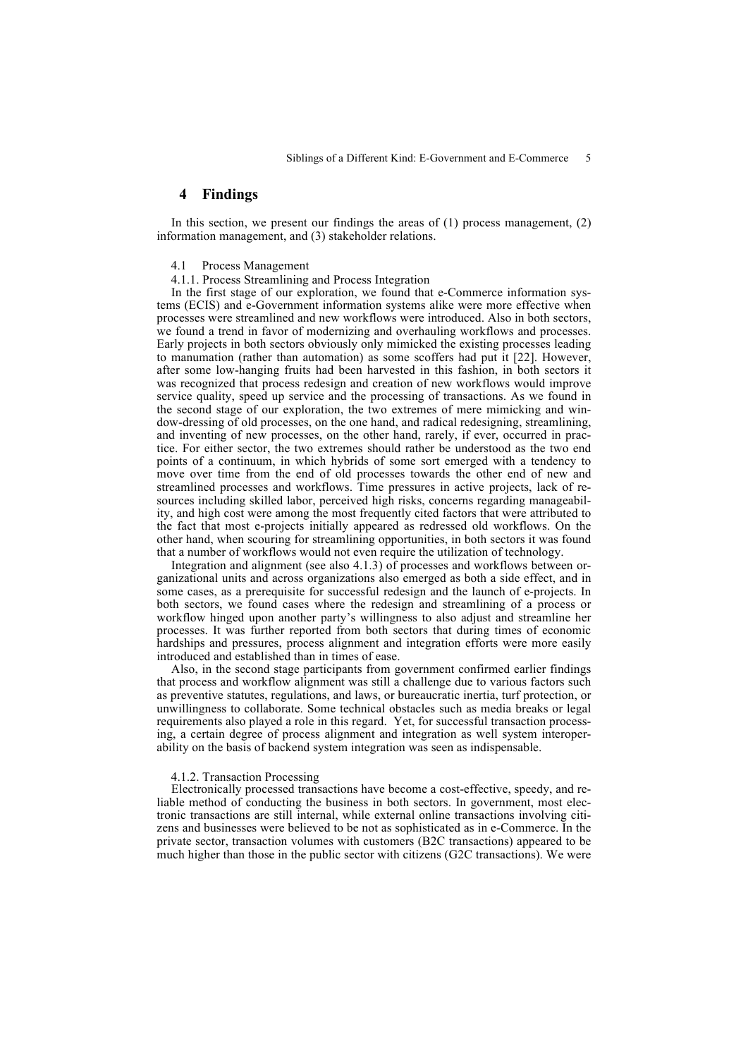# **4 Findings**

In this section, we present our findings the areas of  $(1)$  process management,  $(2)$ information management, and (3) stakeholder relations.

#### 4.1 Process Management

4.1.1. Process Streamlining and Process Integration

In the first stage of our exploration, we found that e-Commerce information systems (ECIS) and e-Government information systems alike were more effective when processes were streamlined and new workflows were introduced. Also in both sectors, we found a trend in favor of modernizing and overhauling workflows and processes. Early projects in both sectors obviously only mimicked the existing processes leading to manumation (rather than automation) as some scoffers had put it [22]. However, after some low-hanging fruits had been harvested in this fashion, in both sectors it was recognized that process redesign and creation of new workflows would improve service quality, speed up service and the processing of transactions. As we found in the second stage of our exploration, the two extremes of mere mimicking and window-dressing of old processes, on the one hand, and radical redesigning, streamlining, and inventing of new processes, on the other hand, rarely, if ever, occurred in practice. For either sector, the two extremes should rather be understood as the two end points of a continuum, in which hybrids of some sort emerged with a tendency to move over time from the end of old processes towards the other end of new and streamlined processes and workflows. Time pressures in active projects, lack of resources including skilled labor, perceived high risks, concerns regarding manageability, and high cost were among the most frequently cited factors that were attributed to the fact that most e-projects initially appeared as redressed old workflows. On the other hand, when scouring for streamlining opportunities, in both sectors it was found that a number of workflows would not even require the utilization of technology.

Integration and alignment (see also 4.1.3) of processes and workflows between organizational units and across organizations also emerged as both a side effect, and in some cases, as a prerequisite for successful redesign and the launch of e-projects. In both sectors, we found cases where the redesign and streamlining of a process or workflow hinged upon another party's willingness to also adjust and streamline her processes. It was further reported from both sectors that during times of economic hardships and pressures, process alignment and integration efforts were more easily introduced and established than in times of ease.

Also, in the second stage participants from government confirmed earlier findings that process and workflow alignment was still a challenge due to various factors such as preventive statutes, regulations, and laws, or bureaucratic inertia, turf protection, or unwillingness to collaborate. Some technical obstacles such as media breaks or legal requirements also played a role in this regard. Yet, for successful transaction processing, a certain degree of process alignment and integration as well system interoperability on the basis of backend system integration was seen as indispensable.

## 4.1.2. Transaction Processing

Electronically processed transactions have become a cost-effective, speedy, and reliable method of conducting the business in both sectors. In government, most electronic transactions are still internal, while external online transactions involving citizens and businesses were believed to be not as sophisticated as in e-Commerce. In the private sector, transaction volumes with customers (B2C transactions) appeared to be much higher than those in the public sector with citizens (G2C transactions). We were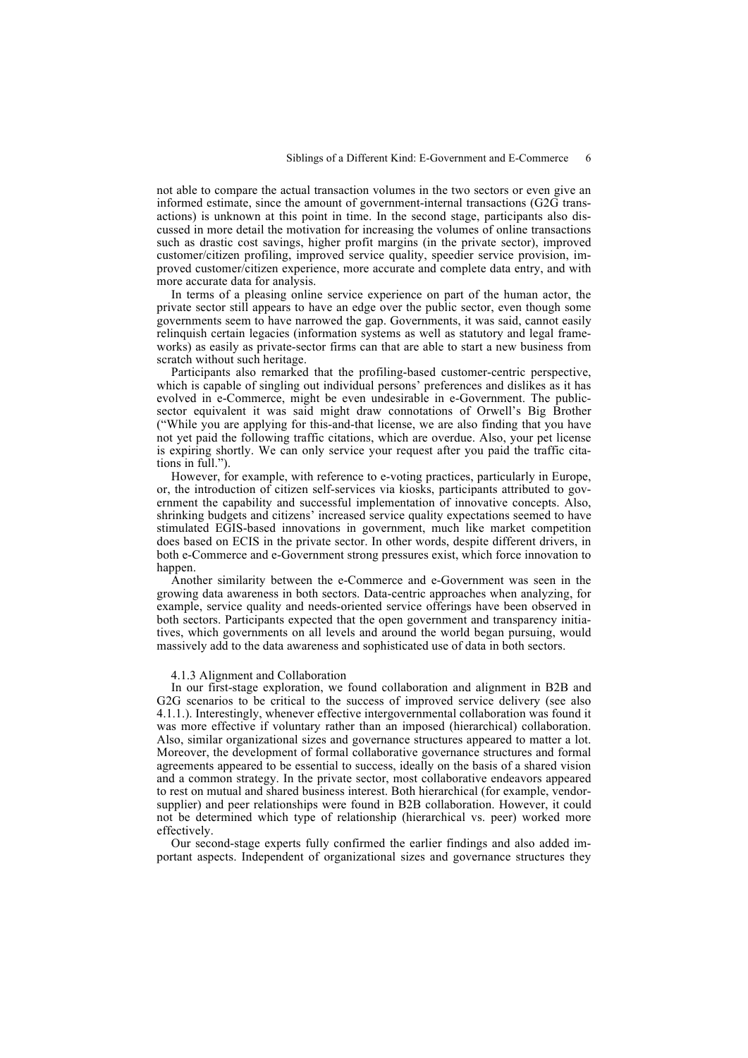not able to compare the actual transaction volumes in the two sectors or even give an informed estimate, since the amount of government-internal transactions (G2G transactions) is unknown at this point in time. In the second stage, participants also discussed in more detail the motivation for increasing the volumes of online transactions such as drastic cost savings, higher profit margins (in the private sector), improved customer/citizen profiling, improved service quality, speedier service provision, improved customer/citizen experience, more accurate and complete data entry, and with more accurate data for analysis.

In terms of a pleasing online service experience on part of the human actor, the private sector still appears to have an edge over the public sector, even though some governments seem to have narrowed the gap. Governments, it was said, cannot easily relinquish certain legacies (information systems as well as statutory and legal frameworks) as easily as private-sector firms can that are able to start a new business from scratch without such heritage.

Participants also remarked that the profiling-based customer-centric perspective, which is capable of singling out individual persons' preferences and dislikes as it has evolved in e-Commerce, might be even undesirable in e-Government. The publicsector equivalent it was said might draw connotations of Orwell's Big Brother ("While you are applying for this-and-that license, we are also finding that you have not yet paid the following traffic citations, which are overdue. Also, your pet license is expiring shortly. We can only service your request after you paid the traffic citations in full  $"$ ).

However, for example, with reference to e-voting practices, particularly in Europe, or, the introduction of citizen self-services via kiosks, participants attributed to government the capability and successful implementation of innovative concepts. Also, shrinking budgets and citizens' increased service quality expectations seemed to have stimulated EGIS-based innovations in government, much like market competition does based on ECIS in the private sector. In other words, despite different drivers, in both e-Commerce and e-Government strong pressures exist, which force innovation to happen.

Another similarity between the e-Commerce and e-Government was seen in the growing data awareness in both sectors. Data-centric approaches when analyzing, for example, service quality and needs-oriented service offerings have been observed in both sectors. Participants expected that the open government and transparency initiatives, which governments on all levels and around the world began pursuing, would massively add to the data awareness and sophisticated use of data in both sectors.

### 4.1.3 Alignment and Collaboration

In our first-stage exploration, we found collaboration and alignment in B2B and G2G scenarios to be critical to the success of improved service delivery (see also 4.1.1.). Interestingly, whenever effective intergovernmental collaboration was found it was more effective if voluntary rather than an imposed (hierarchical) collaboration. Also, similar organizational sizes and governance structures appeared to matter a lot. Moreover, the development of formal collaborative governance structures and formal agreements appeared to be essential to success, ideally on the basis of a shared vision and a common strategy. In the private sector, most collaborative endeavors appeared to rest on mutual and shared business interest. Both hierarchical (for example, vendorsupplier) and peer relationships were found in B2B collaboration. However, it could not be determined which type of relationship (hierarchical vs. peer) worked more effectively.

Our second-stage experts fully confirmed the earlier findings and also added important aspects. Independent of organizational sizes and governance structures they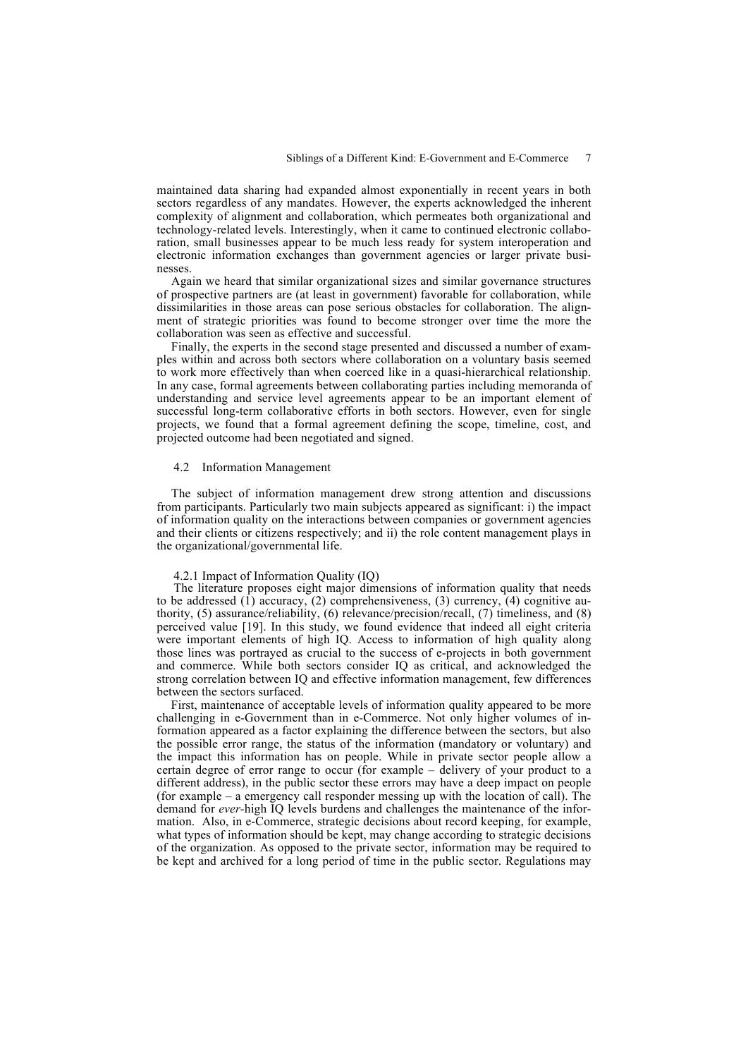maintained data sharing had expanded almost exponentially in recent years in both sectors regardless of any mandates. However, the experts acknowledged the inherent complexity of alignment and collaboration, which permeates both organizational and technology-related levels. Interestingly, when it came to continued electronic collaboration, small businesses appear to be much less ready for system interoperation and electronic information exchanges than government agencies or larger private businesses.

Again we heard that similar organizational sizes and similar governance structures of prospective partners are (at least in government) favorable for collaboration, while dissimilarities in those areas can pose serious obstacles for collaboration. The alignment of strategic priorities was found to become stronger over time the more the collaboration was seen as effective and successful.

Finally, the experts in the second stage presented and discussed a number of examples within and across both sectors where collaboration on a voluntary basis seemed to work more effectively than when coerced like in a quasi-hierarchical relationship. In any case, formal agreements between collaborating parties including memoranda of understanding and service level agreements appear to be an important element of successful long-term collaborative efforts in both sectors. However, even for single projects, we found that a formal agreement defining the scope, timeline, cost, and projected outcome had been negotiated and signed.

#### 4.2 Information Management

The subject of information management drew strong attention and discussions from participants. Particularly two main subjects appeared as significant: i) the impact of information quality on the interactions between companies or government agencies and their clients or citizens respectively; and ii) the role content management plays in the organizational/governmental life.

#### 4.2.1 Impact of Information Quality (IQ)

The literature proposes eight major dimensions of information quality that needs to be addressed  $(1)$  accuracy,  $(2)$  comprehensiveness,  $(3)$  currency,  $(4)$  cognitive authority, (5) assurance/reliability, (6) relevance/precision/recall, (7) timeliness, and (8) perceived value [19]. In this study, we found evidence that indeed all eight criteria were important elements of high IQ. Access to information of high quality along those lines was portrayed as crucial to the success of e-projects in both government and commerce. While both sectors consider IQ as critical, and acknowledged the strong correlation between IQ and effective information management, few differences between the sectors surfaced.

First, maintenance of acceptable levels of information quality appeared to be more challenging in e-Government than in e-Commerce. Not only higher volumes of information appeared as a factor explaining the difference between the sectors, but also the possible error range, the status of the information (mandatory or voluntary) and the impact this information has on people. While in private sector people allow a certain degree of error range to occur (for example – delivery of your product to a different address), in the public sector these errors may have a deep impact on people (for example – a emergency call responder messing up with the location of call). The demand for *ever-*high IQ levels burdens and challenges the maintenance of the information. Also, in e-Commerce, strategic decisions about record keeping, for example, what types of information should be kept, may change according to strategic decisions of the organization. As opposed to the private sector, information may be required to be kept and archived for a long period of time in the public sector. Regulations may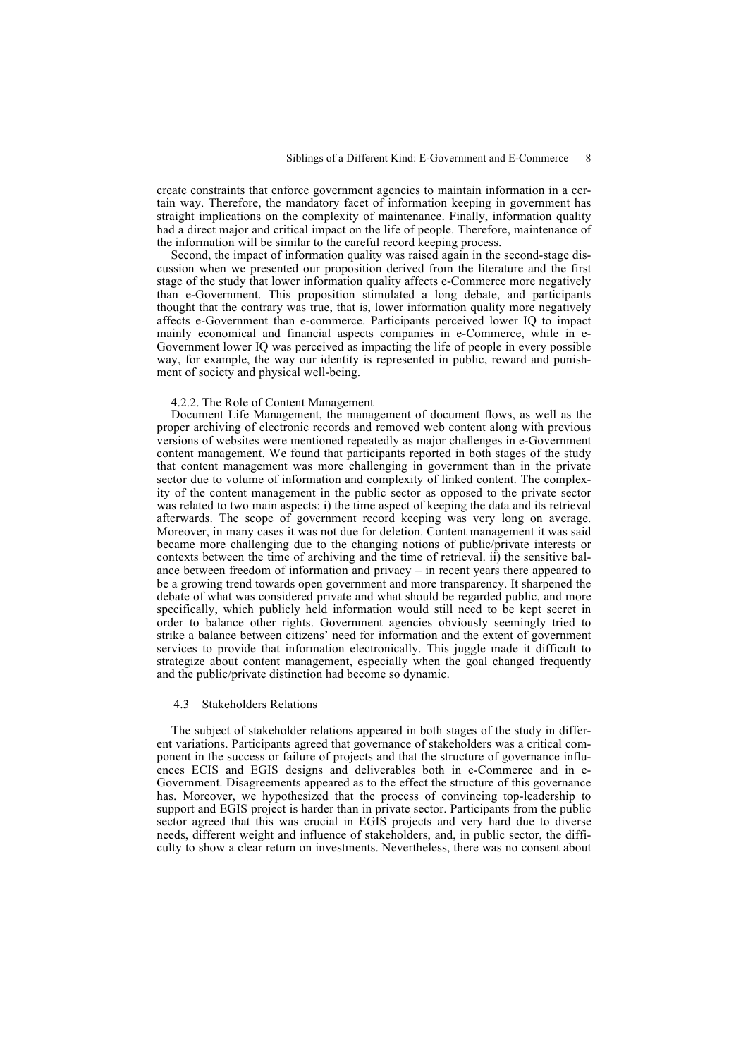create constraints that enforce government agencies to maintain information in a certain way. Therefore, the mandatory facet of information keeping in government has straight implications on the complexity of maintenance. Finally, information quality had a direct major and critical impact on the life of people. Therefore, maintenance of the information will be similar to the careful record keeping process.

Second, the impact of information quality was raised again in the second-stage discussion when we presented our proposition derived from the literature and the first stage of the study that lower information quality affects e-Commerce more negatively than e-Government. This proposition stimulated a long debate, and participants thought that the contrary was true, that is, lower information quality more negatively affects e-Government than e-commerce. Participants perceived lower IQ to impact mainly economical and financial aspects companies in e-Commerce, while in e-Government lower IQ was perceived as impacting the life of people in every possible way, for example, the way our identity is represented in public, reward and punishment of society and physical well-being.

## 4.2.2. The Role of Content Management

Document Life Management, the management of document flows, as well as the proper archiving of electronic records and removed web content along with previous versions of websites were mentioned repeatedly as major challenges in e-Government content management. We found that participants reported in both stages of the study that content management was more challenging in government than in the private sector due to volume of information and complexity of linked content. The complexity of the content management in the public sector as opposed to the private sector was related to two main aspects: i) the time aspect of keeping the data and its retrieval afterwards. The scope of government record keeping was very long on average. Moreover, in many cases it was not due for deletion. Content management it was said became more challenging due to the changing notions of public/private interests or contexts between the time of archiving and the time of retrieval. ii) the sensitive balance between freedom of information and privacy – in recent years there appeared to be a growing trend towards open government and more transparency. It sharpened the debate of what was considered private and what should be regarded public, and more specifically, which publicly held information would still need to be kept secret in order to balance other rights. Government agencies obviously seemingly tried to strike a balance between citizens' need for information and the extent of government services to provide that information electronically. This juggle made it difficult to strategize about content management, especially when the goal changed frequently and the public/private distinction had become so dynamic.

#### 4.3 Stakeholders Relations

The subject of stakeholder relations appeared in both stages of the study in different variations. Participants agreed that governance of stakeholders was a critical component in the success or failure of projects and that the structure of governance influences ECIS and EGIS designs and deliverables both in e-Commerce and in e-Government. Disagreements appeared as to the effect the structure of this governance has. Moreover, we hypothesized that the process of convincing top-leadership to support and EGIS project is harder than in private sector. Participants from the public sector agreed that this was crucial in EGIS projects and very hard due to diverse needs, different weight and influence of stakeholders, and, in public sector, the difficulty to show a clear return on investments. Nevertheless, there was no consent about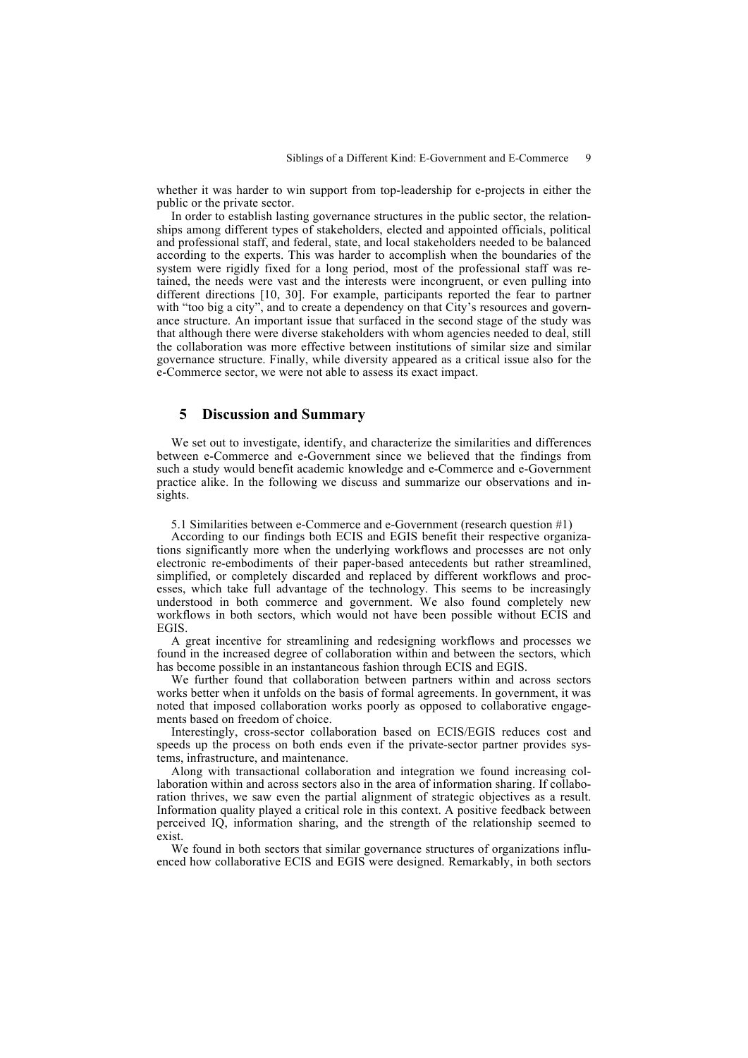whether it was harder to win support from top-leadership for e-projects in either the public or the private sector.

In order to establish lasting governance structures in the public sector, the relationships among different types of stakeholders, elected and appointed officials, political and professional staff, and federal, state, and local stakeholders needed to be balanced according to the experts. This was harder to accomplish when the boundaries of the system were rigidly fixed for a long period, most of the professional staff was retained, the needs were vast and the interests were incongruent, or even pulling into different directions [10, 30]. For example, participants reported the fear to partner with "too big a city", and to create a dependency on that City's resources and governance structure. An important issue that surfaced in the second stage of the study was that although there were diverse stakeholders with whom agencies needed to deal, still the collaboration was more effective between institutions of similar size and similar governance structure. Finally, while diversity appeared as a critical issue also for the e-Commerce sector, we were not able to assess its exact impact.

# **5 Discussion and Summary**

We set out to investigate, identify, and characterize the similarities and differences between e-Commerce and e-Government since we believed that the findings from such a study would benefit academic knowledge and e-Commerce and e-Government practice alike. In the following we discuss and summarize our observations and insights.

5.1 Similarities between e-Commerce and e-Government (research question #1)

According to our findings both ECIS and EGIS benefit their respective organizations significantly more when the underlying workflows and processes are not only electronic re-embodiments of their paper-based antecedents but rather streamlined, simplified, or completely discarded and replaced by different workflows and processes, which take full advantage of the technology. This seems to be increasingly understood in both commerce and government. We also found completely new workflows in both sectors, which would not have been possible without ECIS and EGIS.

A great incentive for streamlining and redesigning workflows and processes we found in the increased degree of collaboration within and between the sectors, which has become possible in an instantaneous fashion through ECIS and EGIS.

We further found that collaboration between partners within and across sectors works better when it unfolds on the basis of formal agreements. In government, it was noted that imposed collaboration works poorly as opposed to collaborative engagements based on freedom of choice.

Interestingly, cross-sector collaboration based on ECIS/EGIS reduces cost and speeds up the process on both ends even if the private-sector partner provides systems, infrastructure, and maintenance.

Along with transactional collaboration and integration we found increasing collaboration within and across sectors also in the area of information sharing. If collaboration thrives, we saw even the partial alignment of strategic objectives as a result. Information quality played a critical role in this context. A positive feedback between perceived IQ, information sharing, and the strength of the relationship seemed to exist.

We found in both sectors that similar governance structures of organizations influenced how collaborative ECIS and EGIS were designed. Remarkably, in both sectors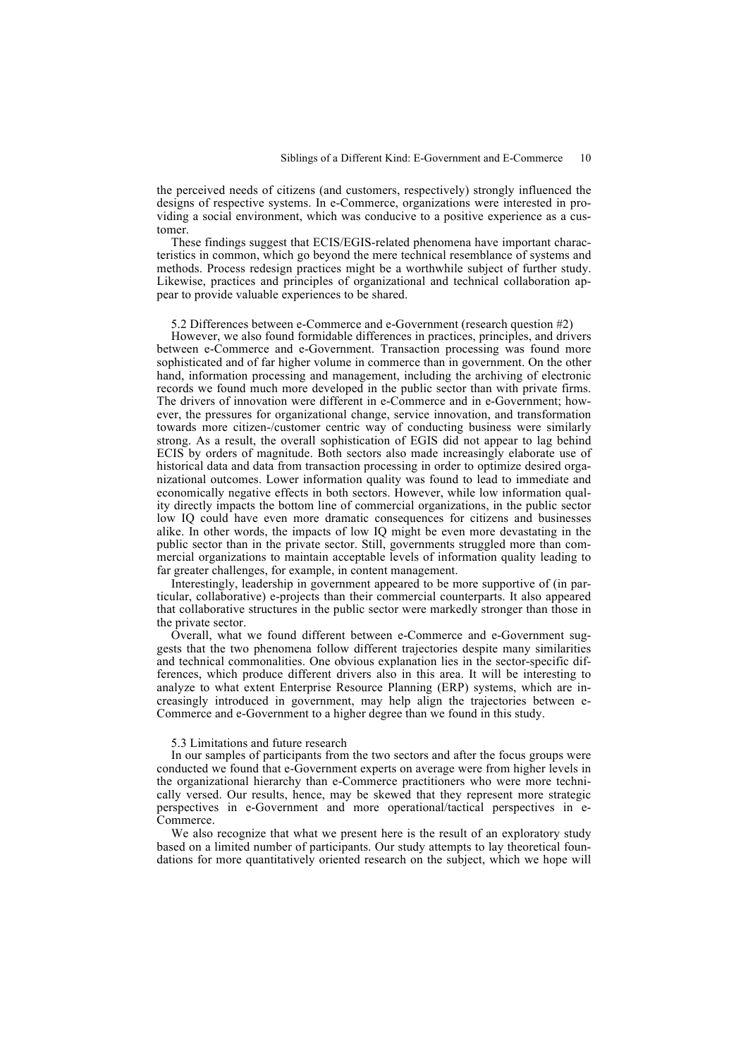the perceived needs of citizens (and customers, respectively) strongly influenced the designs of respective systems. In e-Commerce, organizations were interested in providing a social environment, which was conducive to a positive experience as a customer.

These findings suggest that ECIS/EGIS-related phenomena have important characteristics in common, which go beyond the mere technical resemblance of systems and methods. Process redesign practices might be a worthwhile subject of further study. Likewise, practices and principles of organizational and technical collaboration appear to provide valuable experiences to be shared.

## 5.2 Differences between e-Commerce and e-Government (research question #2)

However, we also found formidable differences in practices, principles, and drivers between e-Commerce and e-Government. Transaction processing was found more sophisticated and of far higher volume in commerce than in government. On the other hand, information processing and management, including the archiving of electronic records we found much more developed in the public sector than with private firms. The drivers of innovation were different in e-Commerce and in e-Government; however, the pressures for organizational change, service innovation, and transformation towards more citizen-/customer centric way of conducting business were similarly strong. As a result, the overall sophistication of EGIS did not appear to lag behind ECIS by orders of magnitude. Both sectors also made increasingly elaborate use of historical data and data from transaction processing in order to optimize desired organizational outcomes. Lower information quality was found to lead to immediate and economically negative effects in both sectors. However, while low information quality directly impacts the bottom line of commercial organizations, in the public sector low IQ could have even more dramatic consequences for citizens and businesses alike. In other words, the impacts of low IQ might be even more devastating in the public sector than in the private sector. Still, governments struggled more than commercial organizations to maintain acceptable levels of information quality leading to far greater challenges, for example, in content management.

Interestingly, leadership in government appeared to be more supportive of (in particular, collaborative) e-projects than their commercial counterparts. It also appeared that collaborative structures in the public sector were markedly stronger than those in the private sector.

Overall, what we found different between e-Commerce and e-Government suggests that the two phenomena follow different trajectories despite many similarities and technical commonalities. One obvious explanation lies in the sector-specific differences, which produce different drivers also in this area. It will be interesting to analyze to what extent Enterprise Resource Planning (ERP) systems, which are increasingly introduced in government, may help align the trajectories between e-Commerce and e-Government to a higher degree than we found in this study.

#### 5.3 Limitations and future research

In our samples of participants from the two sectors and after the focus groups were conducted we found that e-Government experts on average were from higher levels in the organizational hierarchy than e-Commerce practitioners who were more technically versed. Our results, hence, may be skewed that they represent more strategic perspectives in e-Government and more operational/tactical perspectives in e-Commerce.

We also recognize that what we present here is the result of an exploratory study based on a limited number of participants. Our study attempts to lay theoretical foundations for more quantitatively oriented research on the subject, which we hope will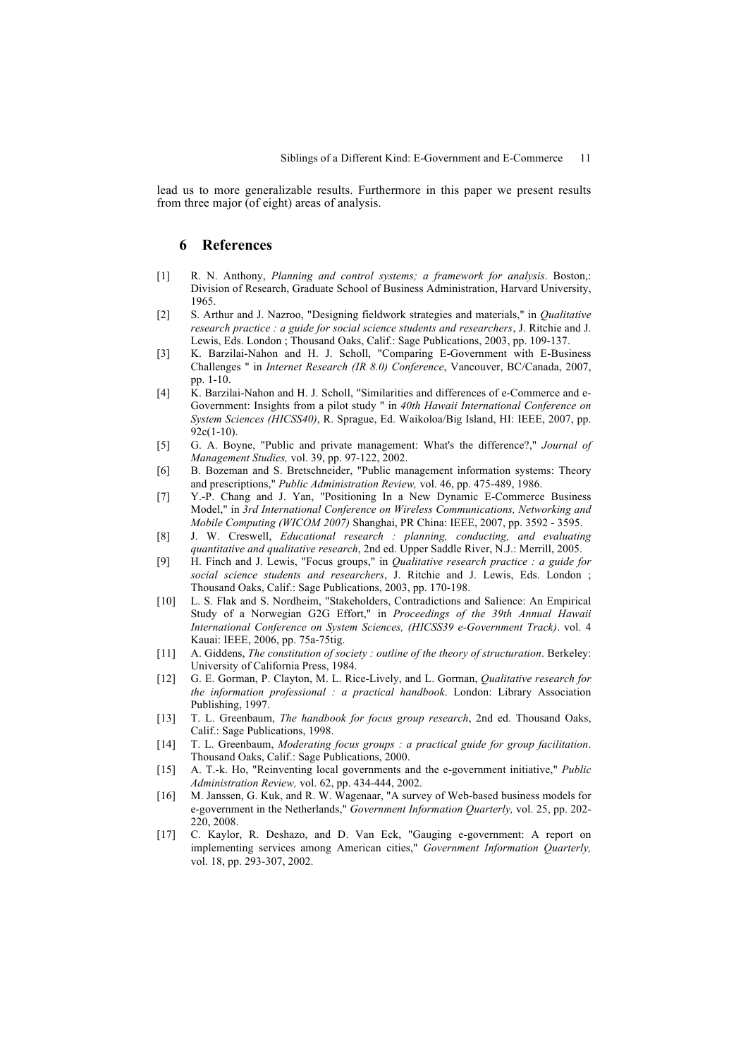lead us to more generalizable results. Furthermore in this paper we present results from three major (of eight) areas of analysis.

## **6 References**

- [1] R. N. Anthony, *Planning and control systems; a framework for analysis*. Boston,: Division of Research, Graduate School of Business Administration, Harvard University, 1965.
- [2] S. Arthur and J. Nazroo, "Designing fieldwork strategies and materials," in *Qualitative research practice : a guide for social science students and researchers*, J. Ritchie and J. Lewis, Eds. London ; Thousand Oaks, Calif.: Sage Publications, 2003, pp. 109-137.
- [3] K. Barzilai-Nahon and H. J. Scholl, "Comparing E-Government with E-Business Challenges " in *Internet Research (IR 8.0) Conference*, Vancouver, BC/Canada, 2007, pp. 1-10.
- [4] K. Barzilai-Nahon and H. J. Scholl, "Similarities and differences of e-Commerce and e-Government: Insights from a pilot study " in *40th Hawaii International Conference on System Sciences (HICSS40)*, R. Sprague, Ed. Waikoloa/Big Island, HI: IEEE, 2007, pp. 92c(1-10).
- [5] G. A. Boyne, "Public and private management: What's the difference?," *Journal of Management Studies,* vol. 39, pp. 97-122, 2002.
- [6] B. Bozeman and S. Bretschneider, "Public management information systems: Theory and prescriptions," *Public Administration Review,* vol. 46, pp. 475-489, 1986.
- [7] Y.-P. Chang and J. Yan, "Positioning In a New Dynamic E-Commerce Business Model," in *3rd International Conference on Wireless Communications, Networking and Mobile Computing (WICOM 2007)* Shanghai, PR China: IEEE, 2007, pp. 3592 - 3595.
- [8] J. W. Creswell, *Educational research : planning, conducting, and evaluating quantitative and qualitative research*, 2nd ed. Upper Saddle River, N.J.: Merrill, 2005.
- [9] H. Finch and J. Lewis, "Focus groups," in *Qualitative research practice : a guide for social science students and researchers*, J. Ritchie and J. Lewis, Eds. London ; Thousand Oaks, Calif.: Sage Publications, 2003, pp. 170-198.
- [10] L. S. Flak and S. Nordheim, "Stakeholders, Contradictions and Salience: An Empirical Study of a Norwegian G2G Effort," in *Proceedings of the 39th Annual Hawaii International Conference on System Sciences, (HICSS39 e-Government Track)*. vol. 4 Kauai: IEEE, 2006, pp. 75a-75tig.
- [11] A. Giddens, *The constitution of society : outline of the theory of structuration*. Berkeley: University of California Press, 1984.
- [12] G. E. Gorman, P. Clayton, M. L. Rice-Lively, and L. Gorman, *Qualitative research for the information professional : a practical handbook*. London: Library Association Publishing, 1997.
- [13] T. L. Greenbaum, *The handbook for focus group research*, 2nd ed. Thousand Oaks, Calif.: Sage Publications, 1998.
- [14] T. L. Greenbaum, *Moderating focus groups : a practical guide for group facilitation*. Thousand Oaks, Calif.: Sage Publications, 2000.
- [15] A. T.-k. Ho, "Reinventing local governments and the e-government initiative," *Public Administration Review,* vol. 62, pp. 434-444, 2002.
- [16] M. Janssen, G. Kuk, and R. W. Wagenaar, "A survey of Web-based business models for e-government in the Netherlands," *Government Information Quarterly,* vol. 25, pp. 202- 220, 2008.
- [17] C. Kaylor, R. Deshazo, and D. Van Eck, "Gauging e-government: A report on implementing services among American cities," *Government Information Quarterly,*  vol. 18, pp. 293-307, 2002.